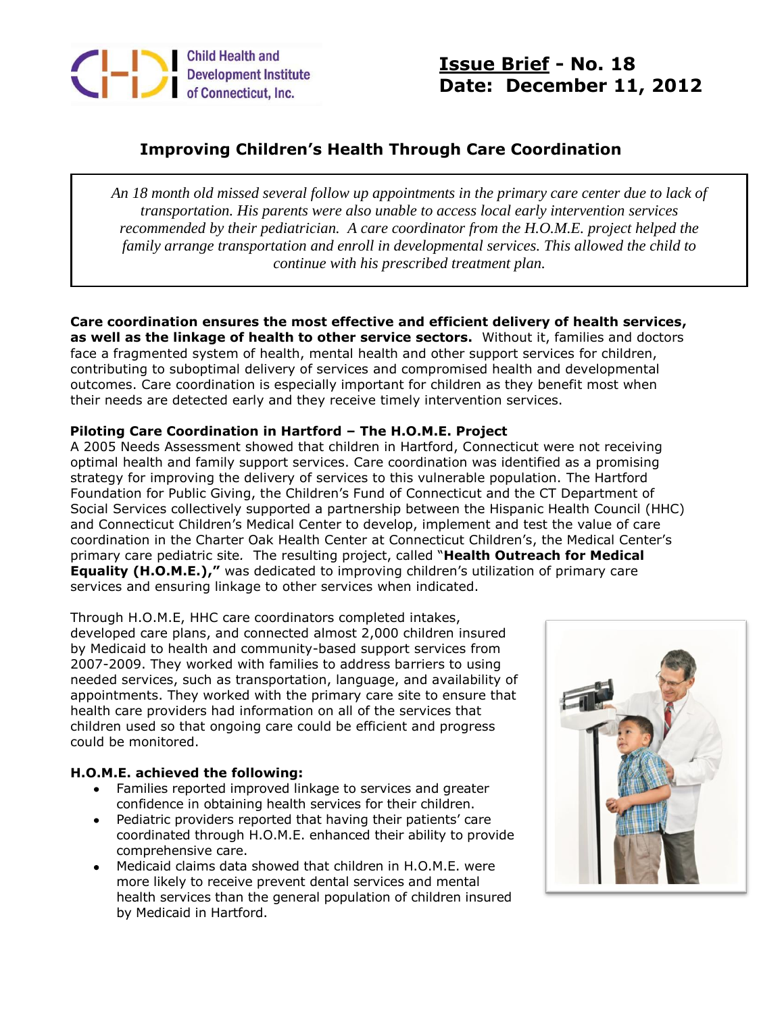

**Issue Brief - No. 18 Date: December 11, 2012**

# **Improving Children's Health Through Care Coordination**

*An 18 month old missed several follow up appointments in the primary care center due to lack of transportation. His parents were also unable to access local early intervention services recommended by their pediatrician. A care coordinator from the H.O.M.E. project helped the family arrange transportation and enroll in developmental services. This allowed the child to continue with his prescribed treatment plan.*

## **Care coordination ensures the most effective and efficient delivery of health services,**

**as well as the linkage of health to other service sectors.** Without it, families and doctors face a fragmented system of health, mental health and other support services for children, contributing to suboptimal delivery of services and compromised health and developmental outcomes. Care coordination is especially important for children as they benefit most when their needs are detected early and they receive timely intervention services.

### **Piloting Care Coordination in Hartford – The H.O.M.E. Project**

A 2005 Needs Assessment showed that children in Hartford, Connecticut were not receiving optimal health and family support services. Care coordination was identified as a promising strategy for improving the delivery of services to this vulnerable population. The Hartford Foundation for Public Giving, the Children's Fund of Connecticut and the CT Department of Social Services collectively supported a partnership between the Hispanic Health Council (HHC) and Connecticut Children's Medical Center to develop, implement and test the value of care coordination in the Charter Oak Health Center at Connecticut Children's, the Medical Center's primary care pediatric site*.* The resulting project, called "**Health Outreach for Medical Equality (H.O.M.E.),"** was dedicated to improving children's utilization of primary care services and ensuring linkage to other services when indicated.

Through H.O.M.E, HHC care coordinators completed intakes, developed care plans, and connected almost 2,000 children insured by Medicaid to health and community-based support services from 2007-2009. They worked with families to address barriers to using needed services, such as transportation, language, and availability of appointments. They worked with the primary care site to ensure that health care providers had information on all of the services that children used so that ongoing care could be efficient and progress could be monitored.

### **H.O.M.E. achieved the following:**

- Families reported improved linkage to services and greater confidence in obtaining health services for their children.
- Pediatric providers reported that having their patients' care coordinated through H.O.M.E. enhanced their ability to provide comprehensive care.
- Medicaid claims data showed that children in H.O.M.E. were more likely to receive prevent dental services and mental health services than the general population of children insured by Medicaid in Hartford.